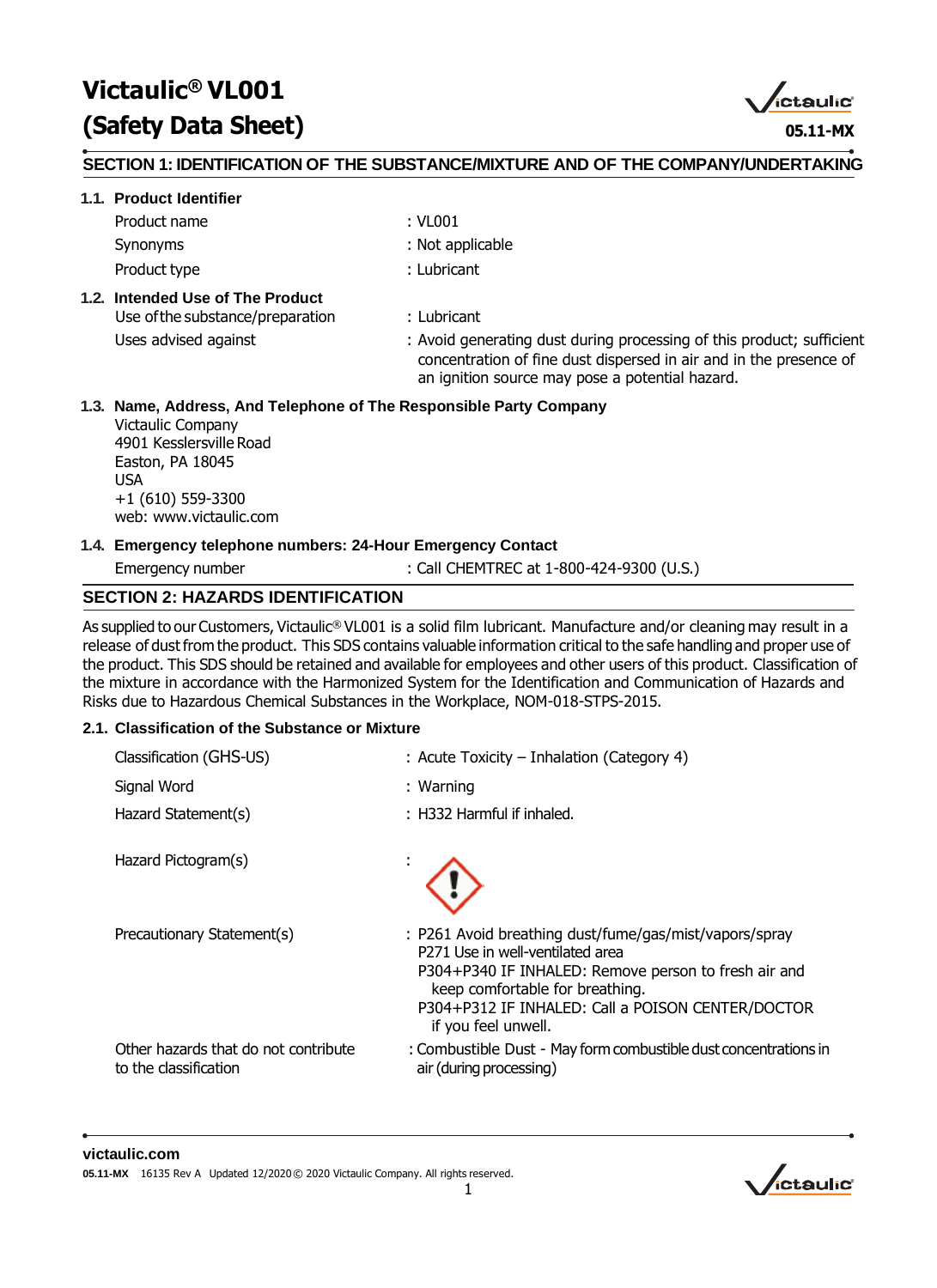# **Victaulic® VL001 (Safety Data Sheet) 05.11-MX**

,<br>ictaulic°

#### **SECTION 1: IDENTIFICATION OF THE SUBSTANCE/MIXTURE AND OF THE COMPANY/UNDERTAKING**

#### **1.1. Product Identifier**

- Product name : VL001
- 
- Synonyms : Not applicable
- Product type **Example 20** and the set of the set of the set of the set of the set of the set of the set of the set of the set of the set of the set of the set of the set of the set of the set of the set of the set of the s

#### **1.2. Intended Use of The Product**

Use ofthe substance/preparation : Lubricant

Uses advised against **in the starting set of the starting dust** during processing of this product; sufficient concentration of fine dust dispersed in air and in the presence of an ignition source may pose a potential hazard.

#### **1.3. Name, Address, And Telephone of The Responsible Party Company**

Victaulic Company 4901 Kesslersville Road Easton, PA 18045 USA +1 (610) 559-3300 web: [www.victaulic.com](http://www.victaulic.com/)

#### **1.4. Emergency telephone numbers: 24-Hour Emergency Contact**

Emergency number : Call CHEMTREC at 1-800-424-9300 (U.S.)

#### **SECTION 2: HAZARDS IDENTIFICATION**

As supplied to our Customers, Victaulic® VL001 is a solid film lubricant. Manufacture and/or cleaning may result in a release of dust from the product. This SDS contains valuable information critical to the safe handling and proper use of the product. This SDS should be retained and available for employees and other users of this product. Classification of the mixture in accordance with the Harmonized System for the Identification and Communication of Hazards and Risks due to Hazardous Chemical Substances in the Workplace, NOM-018-STPS-2015.

#### **2.1. Classification of the Substance or Mixture**

| Classification (GHS-US)                                       | : Acute Toxicity – Inhalation (Category 4)                                                                                                                                                                                                                        |
|---------------------------------------------------------------|-------------------------------------------------------------------------------------------------------------------------------------------------------------------------------------------------------------------------------------------------------------------|
| Signal Word                                                   | $:$ Warning                                                                                                                                                                                                                                                       |
| Hazard Statement(s)                                           | : H332 Harmful if inhaled.                                                                                                                                                                                                                                        |
| Hazard Pictogram(s)                                           |                                                                                                                                                                                                                                                                   |
| Precautionary Statement(s)                                    | : P261 Avoid breathing dust/fume/gas/mist/vapors/spray<br>P271 Use in well-ventilated area<br>P304+P340 IF INHALED: Remove person to fresh air and<br>keep comfortable for breathing.<br>P304+P312 IF INHALED: Call a POISON CENTER/DOCTOR<br>if you feel unwell. |
| Other hazards that do not contribute<br>to the classification | : Combustible Dust - May form combustible dust concentrations in<br>air (during processing)                                                                                                                                                                       |
|                                                               |                                                                                                                                                                                                                                                                   |

#### **victaulic.com**

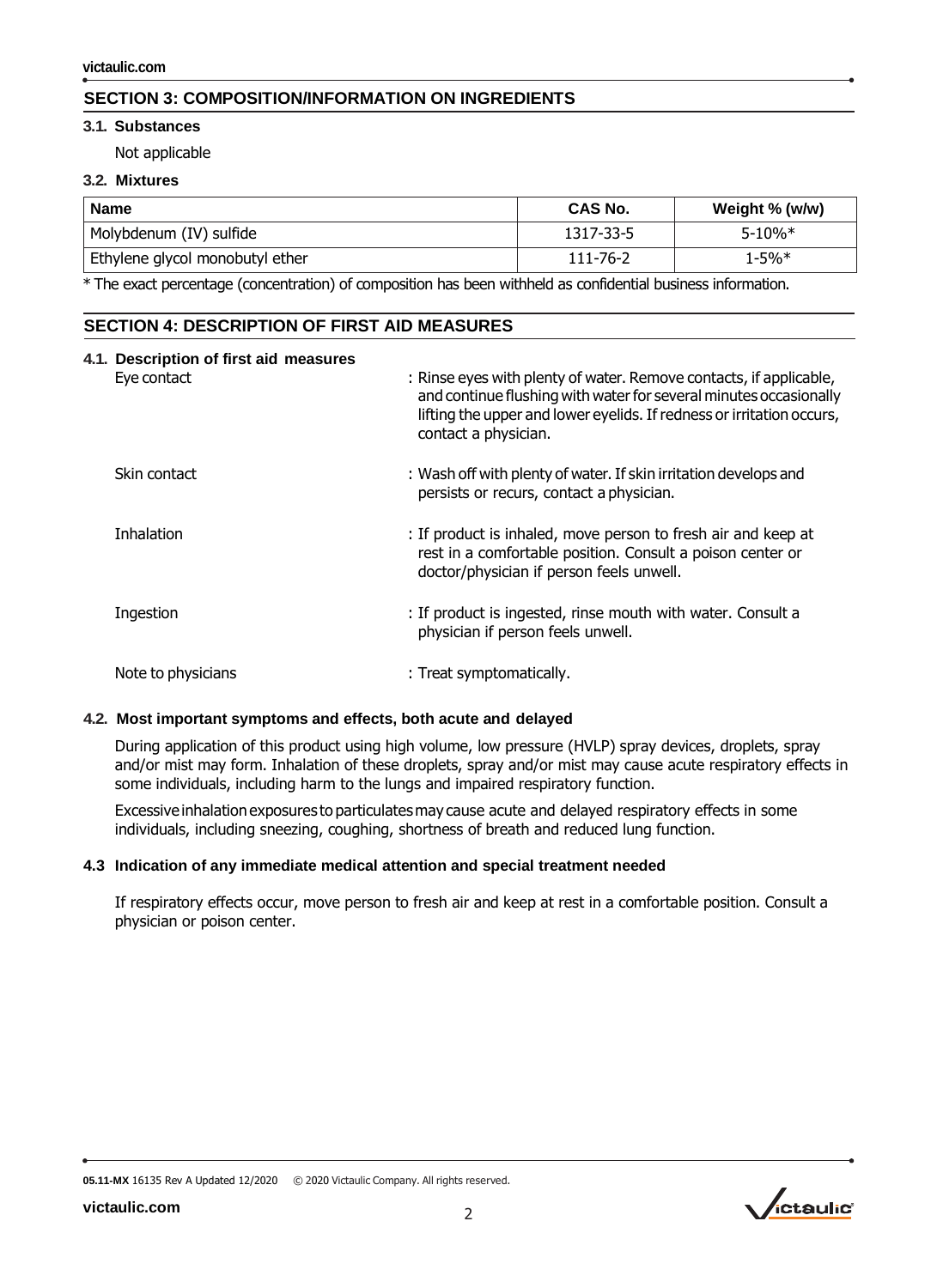# **SECTION 3: COMPOSITION/INFORMATION ON INGREDIENTS**

#### **3.1. Substances**

Not applicable

#### **3.2. Mixtures**

| <b>Name</b>                     | <b>CAS No.</b> | Weight % (w/w) |
|---------------------------------|----------------|----------------|
| Molybdenum (IV) sulfide         | 1317-33-5      | $5 - 10%$ *    |
| Ethylene glycol monobutyl ether | 111-76-2       | $1 - 5%$       |

\* The exact percentage (concentration) of composition has been withheld as confidential business information.

#### **SECTION 4: DESCRIPTION OF FIRST AID MEASURES**

| 4.1. Description of first aid measures |                                                                                                                                                                                                                                          |
|----------------------------------------|------------------------------------------------------------------------------------------------------------------------------------------------------------------------------------------------------------------------------------------|
| Eye contact                            | : Rinse eyes with plenty of water. Remove contacts, if applicable,<br>and continue flushing with water for several minutes occasionally<br>lifting the upper and lower eyelids. If redness or irritation occurs,<br>contact a physician. |
| Skin contact                           | : Wash off with plenty of water. If skin irritation develops and<br>persists or recurs, contact a physician.                                                                                                                             |
| <b>Inhalation</b>                      | : If product is inhaled, move person to fresh air and keep at<br>rest in a comfortable position. Consult a poison center or<br>doctor/physician if person feels unwell.                                                                  |
| Ingestion                              | : If product is ingested, rinse mouth with water. Consult a<br>physician if person feels unwell.                                                                                                                                         |
| Note to physicians                     | : Treat symptomatically.                                                                                                                                                                                                                 |

#### **4.2. Most important symptoms and effects, both acute and delayed**

During application of this product using high volume, low pressure (HVLP) spray devices, droplets, spray and/or mist may form. Inhalation of these droplets, spray and/or mist may cause acute respiratory effects in some individuals, including harm to the lungs and impaired respiratory function.

Excessive inhalation exposures to particulates may cause acute and delayed respiratory effects in some individuals, including sneezing, coughing, shortness of breath and reduced lung function.

#### **4.3 Indication of any immediate medical attention and special treatment needed**

If respiratory effects occur, move person to fresh air and keep at rest in a comfortable position. Consult a physician or poison center.

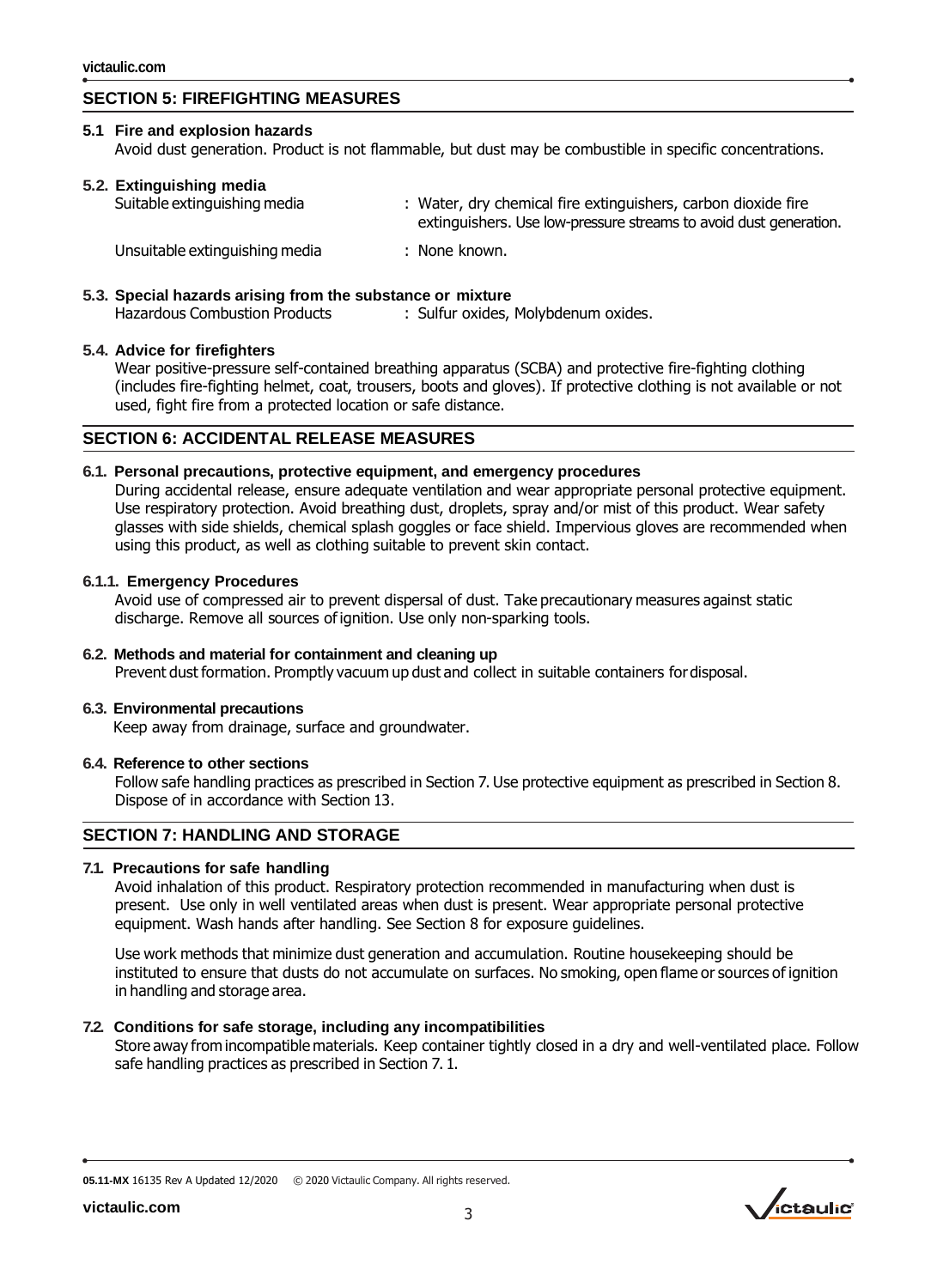# **SECTION 5: FIREFIGHTING MEASURES**

#### **5.1 Fire and explosion hazards** Avoid dust generation. Product is not flammable, but dust may be combustible in specific concentrations.

| 5.2. Extinguishing media<br>Suitable extinguishing media | : Water, dry chemical fire extinguishers, carbon dioxide fire<br>extinguishers. Use low-pressure streams to avoid dust generation. |  |  |  |
|----------------------------------------------------------|------------------------------------------------------------------------------------------------------------------------------------|--|--|--|
| Unsuitable extinguishing media                           | : None known.                                                                                                                      |  |  |  |

**5.3. Special hazards arising from the substance or mixture**

Hazardous Combustion Products : Sulfur oxides, Molybdenum oxides.

#### **5.4. Advice for firefighters**

Wear positive-pressure self-contained breathing apparatus (SCBA) and protective fire-fighting clothing (includes fire-fighting helmet, coat, trousers, boots and gloves). If protective clothing is not available or not used, fight fire from a protected location or safe distance.

#### **SECTION 6: ACCIDENTAL RELEASE MEASURES**

#### **6.1. Personal precautions, protective equipment, and emergency procedures**

During accidental release, ensure adequate ventilation and wear appropriate personal protective equipment. Use respiratory protection. Avoid breathing dust, droplets, spray and/or mist of this product. Wear safety glasses with side shields, chemical splash goggles or face shield. Impervious gloves are recommended when using this product, as well as clothing suitable to prevent skin contact.

#### **6.1.1. Emergency Procedures**

Avoid use of compressed air to prevent dispersal of dust. Take precautionary measures against static discharge. Remove all sources of ignition. Use only non-sparking tools.

#### **6.2. Methods and material for containment and cleaning up** Prevent dust formation. Promptly vacuum up dust and collect in suitable containers fordisposal.

#### **6.3. Environmental precautions**

Keep away from drainage, surface and groundwater.

#### **6.4. Reference to other sections**

Follow safe handling practices as prescribed in Section 7. Use protective equipment as prescribed in Section 8. Dispose of in accordance with Section 13.

### **SECTION 7: HANDLING AND STORAGE**

#### **7.1. Precautions for safe handling**

Avoid inhalation of this product. Respiratory protection recommended in manufacturing when dust is present. Use only in well ventilated areas when dust is present. Wear appropriate personal protective equipment. Wash hands after handling. See Section 8 for exposure guidelines.

Use work methods that minimize dust generation and accumulation. Routine housekeeping should be instituted to ensure that dusts do not accumulate on surfaces. No smoking, open flame or sources of ignition in handling and storage area.

#### **7.2. Conditions for safe storage, including any incompatibilities**

Store away fromincompatible materials. Keep container tightly closed in a dry and well-ventilated place. Follow safe handling practices as prescribed in Section 7. 1.

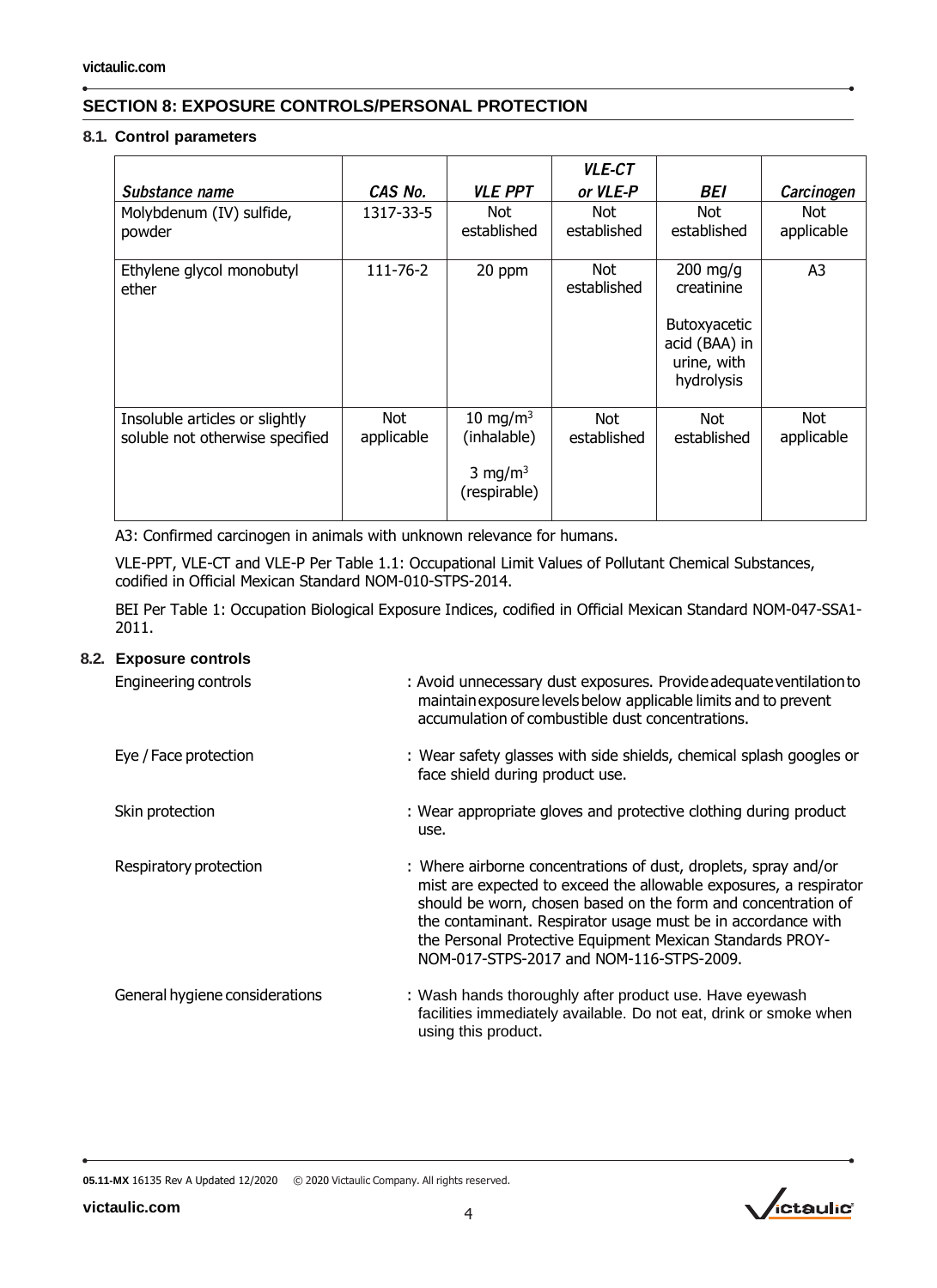# **SECTION 8: EXPOSURE CONTROLS/PERSONAL PROTECTION**

#### **8.1. Control parameters**

|                                                                   |                   |                                                                   | <b>VLE-CT</b>       |                                                                                        |                    |
|-------------------------------------------------------------------|-------------------|-------------------------------------------------------------------|---------------------|----------------------------------------------------------------------------------------|--------------------|
| Substance name                                                    | CAS No.           | <b>VLE PPT</b>                                                    | or VLE-P            | BEI                                                                                    | Carcinogen         |
| Molybdenum (IV) sulfide,<br>powder                                | 1317-33-5         | Not.<br>established                                               | Not.<br>established | Not.<br>established                                                                    | Not.<br>applicable |
| Ethylene glycol monobutyl<br>ether                                | 111-76-2          | 20 ppm                                                            | Not<br>established  | $200$ mg/g<br>creatinine<br>Butoxyacetic<br>acid (BAA) in<br>urine, with<br>hydrolysis | A <sub>3</sub>     |
| Insoluble articles or slightly<br>soluble not otherwise specified | Not<br>applicable | 10 mg/m $3$<br>(inhalable)<br>3 mg/m <sup>3</sup><br>(respirable) | Not.<br>established | Not.<br>established                                                                    | Not<br>applicable  |

A3: Confirmed carcinogen in animals with unknown relevance for humans.

VLE-PPT, VLE-CT and VLE-P Per Table 1.1: Occupational Limit Values of Pollutant Chemical Substances, codified in Official Mexican Standard NOM-010-STPS-2014.

BEI Per Table 1: Occupation Biological Exposure Indices, codified in Official Mexican Standard NOM-047-SSA1- 2011.

#### **8.2. Exposure controls**

| Engineering controls           | : Avoid unnecessary dust exposures. Provide adequate ventilation to<br>maintain exposure levels below applicable limits and to prevent<br>accumulation of combustible dust concentrations.                                                                                                                                                                                     |
|--------------------------------|--------------------------------------------------------------------------------------------------------------------------------------------------------------------------------------------------------------------------------------------------------------------------------------------------------------------------------------------------------------------------------|
| Eye / Face protection          | : Wear safety glasses with side shields, chemical splash googles or<br>face shield during product use.                                                                                                                                                                                                                                                                         |
| Skin protection                | : Wear appropriate gloves and protective clothing during product<br>use.                                                                                                                                                                                                                                                                                                       |
| Respiratory protection         | : Where airborne concentrations of dust, droplets, spray and/or<br>mist are expected to exceed the allowable exposures, a respirator<br>should be worn, chosen based on the form and concentration of<br>the contaminant. Respirator usage must be in accordance with<br>the Personal Protective Equipment Mexican Standards PROY-<br>NOM-017-STPS-2017 and NOM-116-STPS-2009. |
| General hygiene considerations | : Wash hands thoroughly after product use. Have eyewash<br>facilities immediately available. Do not eat, drink or smoke when<br>using this product.                                                                                                                                                                                                                            |

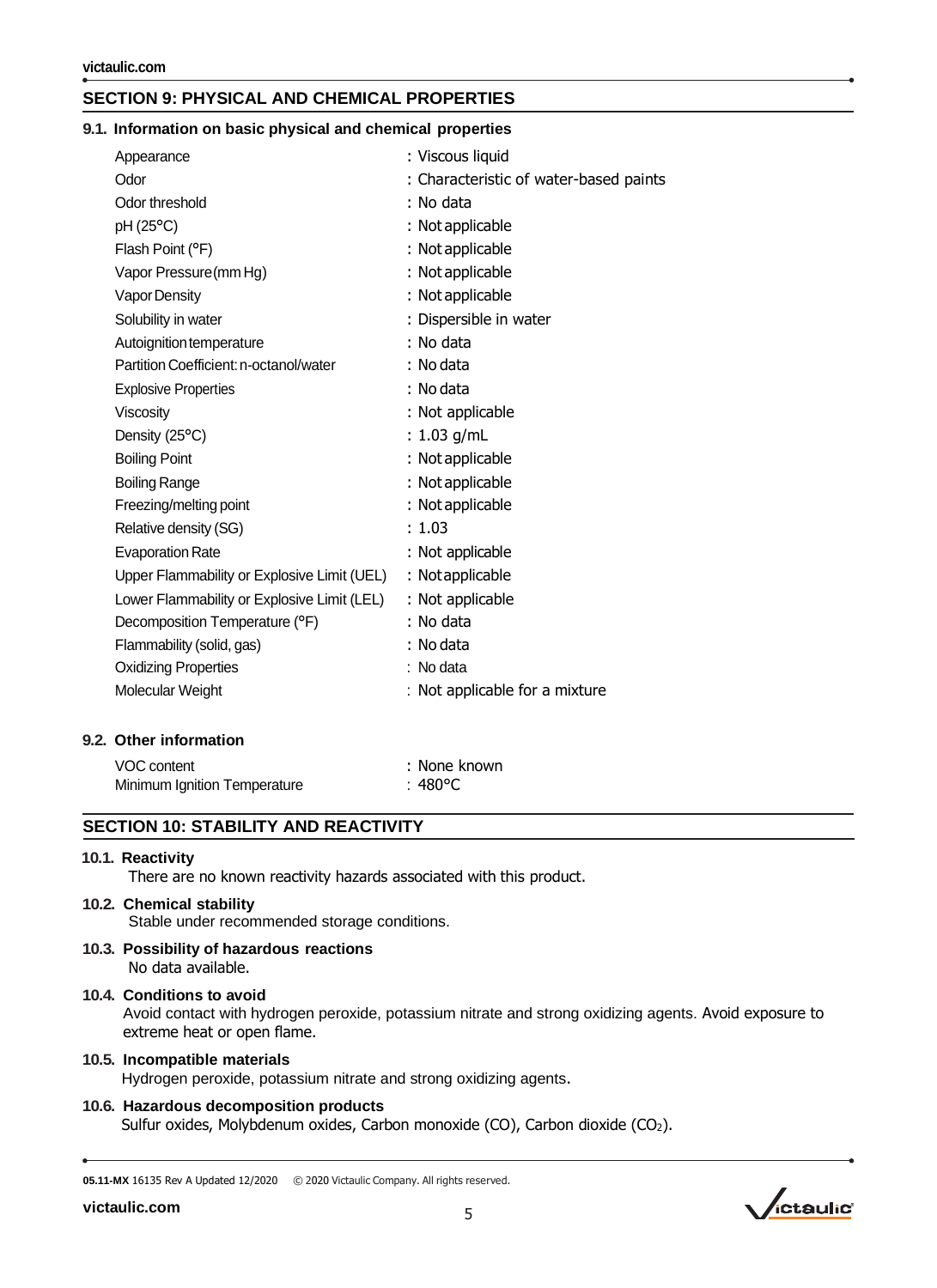### **SECTION 9: PHYSICAL AND CHEMICAL PROPERTIES**

#### **9.1. Information on basic physical and chemical properties**

| Appearance                                  | : Viscous liquid                       |
|---------------------------------------------|----------------------------------------|
| Odor                                        | : Characteristic of water-based paints |
| Odor threshold                              | : No data                              |
| pH (25°C)                                   | : Not applicable                       |
| Flash Point (°F)                            | : Not applicable                       |
| Vapor Pressure (mm Hg)                      | : Not applicable                       |
| Vapor Density                               | : Not applicable                       |
| Solubility in water                         | : Dispersible in water                 |
| Autoignition temperature                    | : No data                              |
| Partition Coefficient: n-octanol/water      | : No data                              |
| <b>Explosive Properties</b>                 | : No data                              |
| Viscosity                                   | : Not applicable                       |
| Density (25°C)                              | : $1.03$ g/mL                          |
| <b>Boiling Point</b>                        | : Not applicable                       |
| <b>Boiling Range</b>                        | : Not applicable                       |
| Freezing/melting point                      | : Not applicable                       |
| Relative density (SG)                       | : 1.03                                 |
| <b>Evaporation Rate</b>                     | : Not applicable                       |
| Upper Flammability or Explosive Limit (UEL) | : Not applicable                       |
| Lower Flammability or Explosive Limit (LEL) | : Not applicable                       |
| Decomposition Temperature (°F)              | : No data                              |
| Flammability (solid, gas)                   | : No data                              |
| <b>Oxidizing Properties</b>                 | : No data                              |
| Molecular Weight                            | : Not applicable for a mixture         |
|                                             |                                        |

#### **9.2. Other information**

| VOC content                  | : None known |
|------------------------------|--------------|
| Minimum Ignition Temperature | :480°C       |

#### **SECTION 10: STABILITY AND REACTIVITY**

#### **10.1. Reactivity**

There are no known reactivity hazards associated with this product.

#### **10.2. Chemical stability**

Stable under recommended storage conditions.

**10.3. Possibility of hazardous reactions** No data available.

#### **10.4. Conditions to avoid**

Avoid contact with hydrogen peroxide, potassium nitrate and strong oxidizing agents. Avoid exposure to extreme heat or open flame.

#### **10.5. Incompatible materials**

Hydrogen peroxide, potassium nitrate and strong oxidizing agents.

#### **10.6. Hazardous decomposition products**

Sulfur oxides, Molybdenum oxides, Carbon monoxide (CO), Carbon dioxide (CO<sub>2</sub>).

**05.11-MX** 16135 Rev A Updated 12/2020 © 2020 Victaulic Company. All rights reserved.

**[victaulic.com](http://www.victaulic.com/en/)**

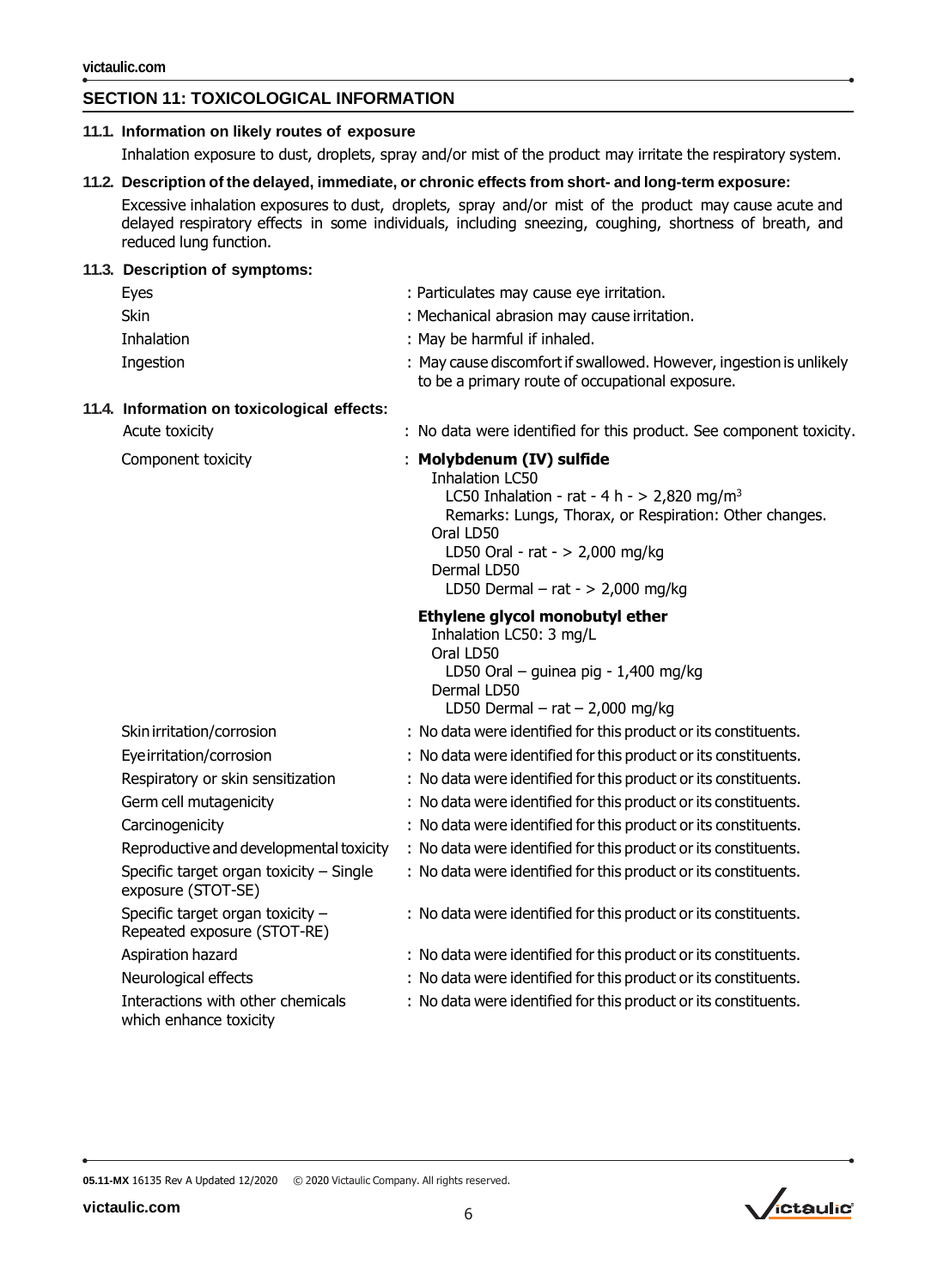### **SECTION 11: TOXICOLOGICAL INFORMATION**

| 11.1. Information on likely routes of exposure                                                                                                                                                                                                                                                                                                     |                                                                                                                                                                                                                                                                                  |  |
|----------------------------------------------------------------------------------------------------------------------------------------------------------------------------------------------------------------------------------------------------------------------------------------------------------------------------------------------------|----------------------------------------------------------------------------------------------------------------------------------------------------------------------------------------------------------------------------------------------------------------------------------|--|
|                                                                                                                                                                                                                                                                                                                                                    | Inhalation exposure to dust, droplets, spray and/or mist of the product may irritate the respiratory system.                                                                                                                                                                     |  |
| 11.2. Description of the delayed, immediate, or chronic effects from short- and long-term exposure:<br>Excessive inhalation exposures to dust, droplets, spray and/or mist of the product may cause acute and<br>delayed respiratory effects in some individuals, including sneezing, coughing, shortness of breath, and<br>reduced lung function. |                                                                                                                                                                                                                                                                                  |  |
| 11.3. Description of symptoms:                                                                                                                                                                                                                                                                                                                     |                                                                                                                                                                                                                                                                                  |  |
| Eyes                                                                                                                                                                                                                                                                                                                                               | : Particulates may cause eye irritation.                                                                                                                                                                                                                                         |  |
| <b>Skin</b>                                                                                                                                                                                                                                                                                                                                        | : Mechanical abrasion may cause irritation.                                                                                                                                                                                                                                      |  |
| Inhalation                                                                                                                                                                                                                                                                                                                                         | : May be harmful if inhaled.                                                                                                                                                                                                                                                     |  |
| Ingestion                                                                                                                                                                                                                                                                                                                                          | : May cause discomfort if swallowed. However, ingestion is unlikely<br>to be a primary route of occupational exposure.                                                                                                                                                           |  |
| 11.4. Information on toxicological effects:                                                                                                                                                                                                                                                                                                        |                                                                                                                                                                                                                                                                                  |  |
| Acute toxicity                                                                                                                                                                                                                                                                                                                                     | : No data were identified for this product. See component toxicity.                                                                                                                                                                                                              |  |
| Component toxicity                                                                                                                                                                                                                                                                                                                                 | : Molybdenum (IV) sulfide<br><b>Inhalation LC50</b><br>LC50 Inhalation - rat - 4 h - > 2,820 mg/m <sup>3</sup><br>Remarks: Lungs, Thorax, or Respiration: Other changes.<br>Oral LD50<br>LD50 Oral - rat - $> 2,000$ mg/kg<br>Dermal LD50<br>LD50 Dermal - rat - $> 2,000$ mg/kg |  |
|                                                                                                                                                                                                                                                                                                                                                    | Ethylene glycol monobutyl ether<br>Inhalation LC50: 3 mg/L<br>Oral LD50<br>LD50 Oral - guinea pig - 1,400 mg/kg<br>Dermal LD50<br>LD50 Dermal $-$ rat $-$ 2,000 mg/kg                                                                                                            |  |
| Skin irritation/corrosion                                                                                                                                                                                                                                                                                                                          | : No data were identified for this product or its constituents.                                                                                                                                                                                                                  |  |
| Eye irritation/corrosion                                                                                                                                                                                                                                                                                                                           | : No data were identified for this product or its constituents.                                                                                                                                                                                                                  |  |
| Respiratory or skin sensitization                                                                                                                                                                                                                                                                                                                  | : No data were identified for this product or its constituents.                                                                                                                                                                                                                  |  |
| Germ cell mutagenicity                                                                                                                                                                                                                                                                                                                             | : No data were identified for this product or its constituents.                                                                                                                                                                                                                  |  |
| Carcinogenicity                                                                                                                                                                                                                                                                                                                                    | : No data were identified for this product or its constituents.                                                                                                                                                                                                                  |  |
| Reproductive and developmental toxicity                                                                                                                                                                                                                                                                                                            | : No data were identified for this product or its constituents.                                                                                                                                                                                                                  |  |
| Specific target organ toxicity - Single<br>exposure (STOT-SE)                                                                                                                                                                                                                                                                                      | : No data were identified for this product or its constituents.                                                                                                                                                                                                                  |  |
| Specific target organ toxicity -<br>Repeated exposure (STOT-RE)                                                                                                                                                                                                                                                                                    | : No data were identified for this product or its constituents.                                                                                                                                                                                                                  |  |
| Aspiration hazard                                                                                                                                                                                                                                                                                                                                  | : No data were identified for this product or its constituents.                                                                                                                                                                                                                  |  |
| Neurological effects                                                                                                                                                                                                                                                                                                                               | : No data were identified for this product or its constituents.                                                                                                                                                                                                                  |  |
| Interactions with other chemicals<br>which enhance toxicity                                                                                                                                                                                                                                                                                        | : No data were identified for this product or its constituents.                                                                                                                                                                                                                  |  |

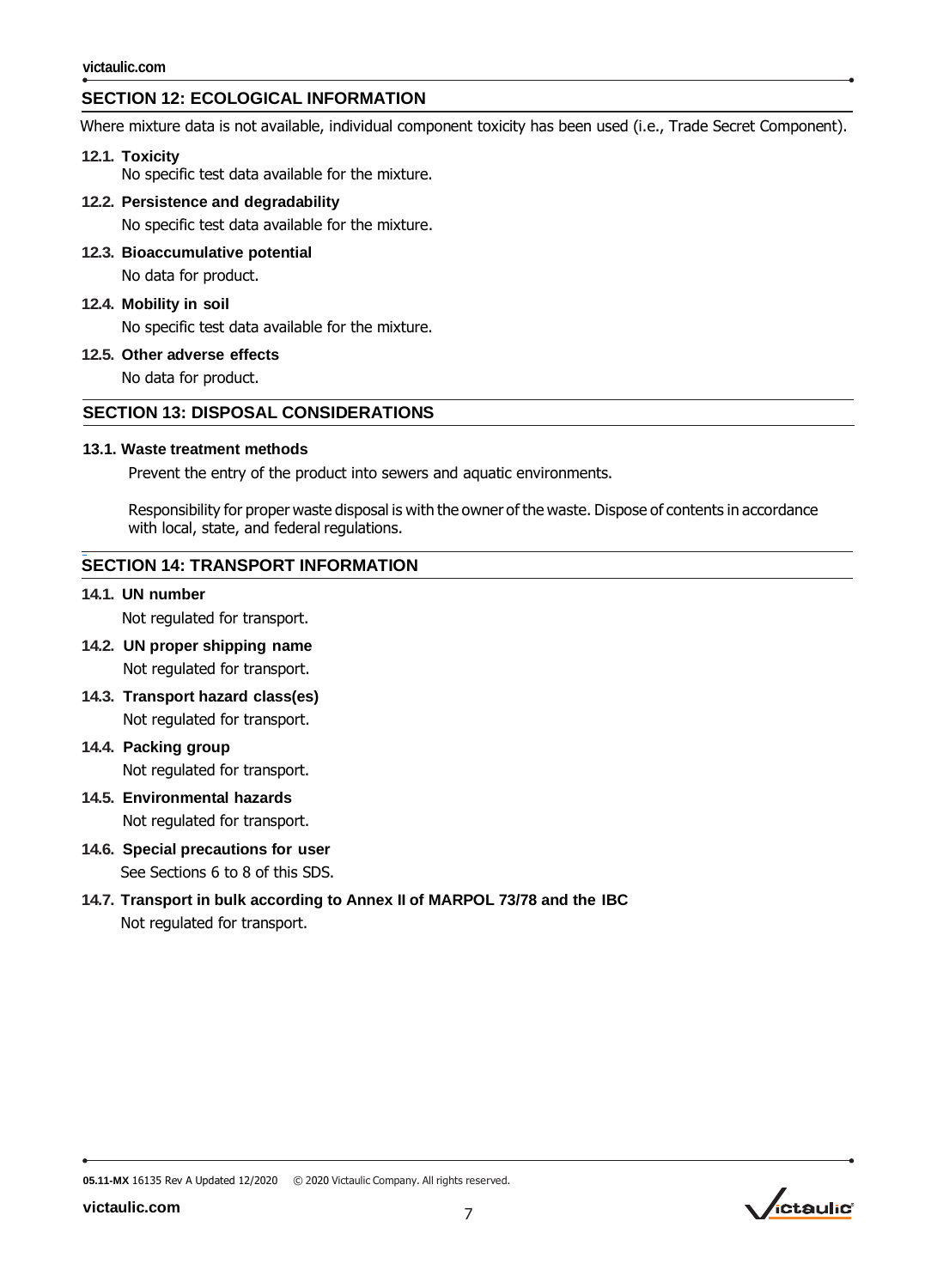# **SECTION 12: ECOLOGICAL INFORMATION**

Where mixture data is not available, individual component toxicity has been used (i.e., Trade Secret Component).

#### **12.1. Toxicity**

No specific test data available for the mixture.

#### **12.2. Persistence and degradability**

No specific test data available for the mixture.

**12.3. Bioaccumulative potential** No data for product.

#### **12.4. Mobility in soil**

No specific test data available for the mixture.

**12.5. Other adverse effects**

No data for product.

#### **SECTION 13: DISPOSAL CONSIDERATIONS**

#### **13.1. Waste treatment methods**

Prevent the entry of the product into sewers and aquatic environments.

Responsibility for proper waste disposal is with the owner of the waste. Dispose of contents in accordance with local, state, and federal regulations.

#### **SECTION 14: TRANSPORT INFORMATION**

#### **14.1. UN number**

Not regulated for transport.

- **14.2. UN proper shipping name** Not regulated for transport.
- **14.3. Transport hazard class(es)** Not regulated for transport.
- **14.4. Packing group** Not regulated for transport.
- **14.5. Environmental hazards** Not regulated for transport.
- **14.6. Special precautions for user** See Sections 6 to 8 of this SDS.
- **14.7. Transport in bulk according to Annex II of MARPOL 73/78 and the IBC** Not regulated for transport.

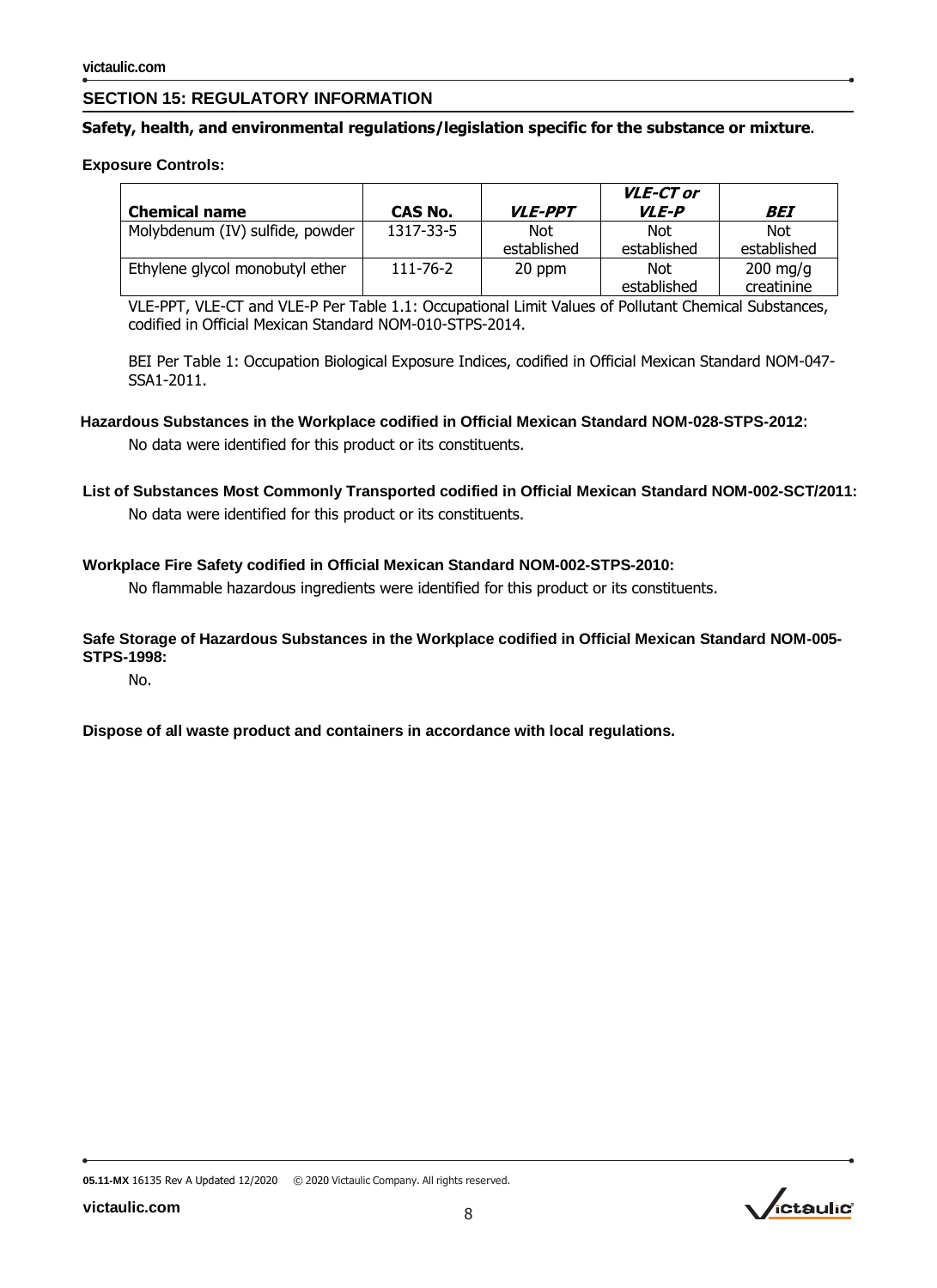### **SECTION 15: REGULATORY INFORMATION**

#### **Safety, health, and environmental regulations/legislation specific for the substance or mixture.**

#### **Exposure Controls:**

| <b>Chemical name</b>            | <b>CAS No.</b> | <b>VLE-PPT</b>            | <b>VLE-CT or</b><br><b>VLE-P</b> | BEI                              |
|---------------------------------|----------------|---------------------------|----------------------------------|----------------------------------|
| Molybdenum (IV) sulfide, powder | 1317-33-5      | <b>Not</b><br>established | <b>Not</b><br>established        | Not<br>established               |
| Ethylene glycol monobutyl ether | $111 - 76 - 2$ | 20 ppm                    | Not<br>established               | $200 \text{ mg/g}$<br>creatinine |

VLE-PPT, VLE-CT and VLE-P Per Table 1.1: Occupational Limit Values of Pollutant Chemical Substances, codified in Official Mexican Standard NOM-010-STPS-2014.

BEI Per Table 1: Occupation Biological Exposure Indices, codified in Official Mexican Standard NOM-047- SSA1-2011.

# **Hazardous Substances in the Workplace codified in Official Mexican Standard NOM-028-STPS-2012**:

No data were identified for this product or its constituents.

**List of Substances Most Commonly Transported codified in Official Mexican Standard NOM-002-SCT/2011:** No data were identified for this product or its constituents.

#### **Workplace Fire Safety codified in Official Mexican Standard NOM-002-STPS-2010:**

No flammable hazardous ingredients were identified for this product or its constituents.

#### **Safe Storage of Hazardous Substances in the Workplace codified in Official Mexican Standard NOM-005- STPS-1998:**

No.

#### **Dispose of all waste product and containers in accordance with local regulations.**